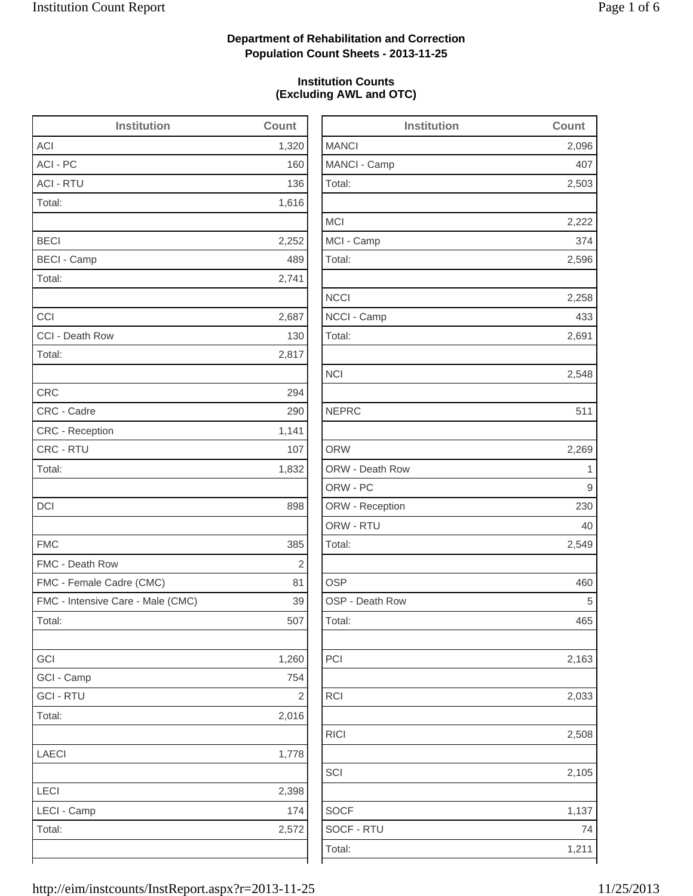2,503

2,222

2,258

2,163

RICI 2,508

2,105

## **Department of Rehabilitation and Correction Population Count Sheets - 2013-11-25**

### **Institution Counts (Excluding AWL and OTC)**

| <b>Institution</b>                | Count          | <b>Institution</b> | Count        |
|-----------------------------------|----------------|--------------------|--------------|
| <b>ACI</b>                        | 1,320          | <b>MANCI</b>       | 2,096        |
| ACI - PC                          | 160            | MANCI - Camp       | 407          |
| <b>ACI - RTU</b>                  | 136            | Total:             | 2,503        |
| Total:                            | 1,616          |                    |              |
|                                   |                | <b>MCI</b>         | 2,222        |
| <b>BECI</b>                       | 2,252          | MCI - Camp         | 374          |
| <b>BECI - Camp</b>                | 489            | Total:             | 2,596        |
| Total:                            | 2,741          |                    |              |
|                                   |                | <b>NCCI</b>        | 2,258        |
| CCI                               | 2,687          | NCCI - Camp        | 433          |
| CCI - Death Row                   | 130            | Total:             | 2,691        |
| Total:                            | 2,817          |                    |              |
|                                   |                | <b>NCI</b>         | 2,548        |
| <b>CRC</b>                        | 294            |                    |              |
| CRC - Cadre                       | 290            | <b>NEPRC</b>       | 511          |
| CRC - Reception                   | 1,141          |                    |              |
| CRC - RTU                         | 107            | <b>ORW</b>         | 2,269        |
| Total:                            | 1,832          | ORW - Death Row    | $\mathbf{1}$ |
|                                   |                | ORW - PC           | 9            |
| <b>DCI</b>                        | 898            | ORW - Reception    | 230          |
|                                   |                | ORW - RTU          | 40           |
| <b>FMC</b>                        | 385            | Total:             | 2,549        |
| FMC - Death Row                   | $\overline{2}$ |                    |              |
| FMC - Female Cadre (CMC)          | 81             | <b>OSP</b>         | 460          |
| FMC - Intensive Care - Male (CMC) | 39             | OSP - Death Row    | 5            |
| Total:                            | 507            | Total:             | 465          |
| GCI                               | 1,260          | PCI                | 2,163        |
| GCI - Camp                        | 754            |                    |              |
| <b>GCI-RTU</b>                    | $\sqrt{2}$     | RCI                | 2,033        |
| Total:                            | 2,016          |                    |              |
|                                   |                | <b>RICI</b>        | 2,508        |
| <b>LAECI</b>                      | 1,778          |                    |              |
|                                   |                | SCI                | 2,105        |
| LECI                              | 2,398          |                    |              |
| LECI - Camp                       | 174            | <b>SOCF</b>        | 1,137        |
| Total:                            | 2,572          | SOCF - RTU         | 74           |
|                                   |                | Total:             | 1,211        |
|                                   |                |                    |              |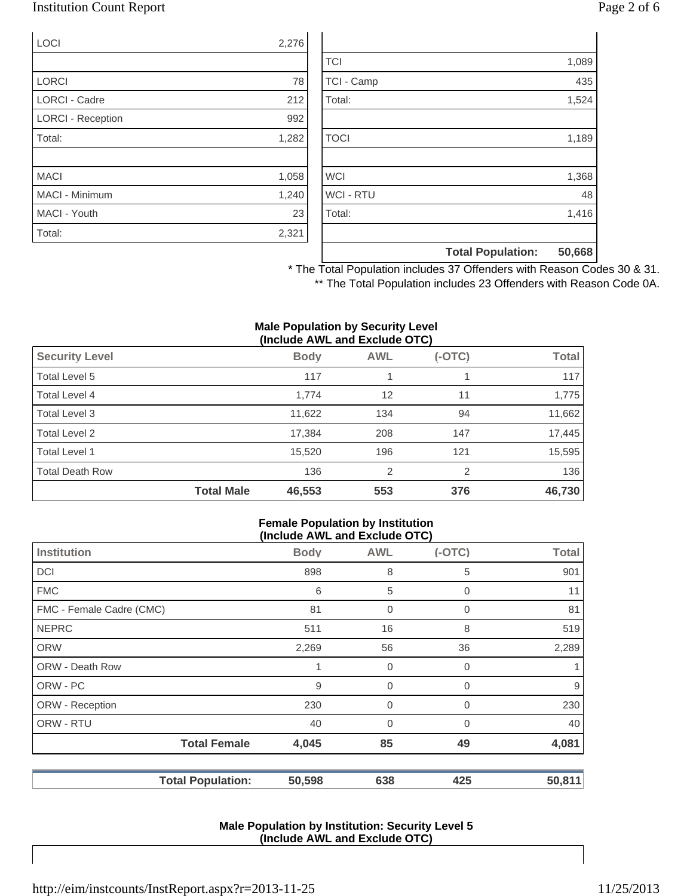## Institution Count Report Page 2 of 6

| LOCI                     | 2,276 |
|--------------------------|-------|
|                          |       |
| <b>LORCI</b>             | 78    |
| <b>LORCI - Cadre</b>     | 212   |
| <b>LORCI - Reception</b> | 992   |
| Total:                   | 1,282 |
|                          |       |
| <b>MACI</b>              | 1,058 |
| <b>MACI - Minimum</b>    | 1,240 |
| MACI - Youth             | 23    |
| Total:                   | 2,321 |

|                  | <b>Total Population:</b> | 50,668 |
|------------------|--------------------------|--------|
|                  |                          |        |
| Total:           |                          | 1,416  |
| <b>WCI - RTU</b> |                          | 48     |
| <b>WCI</b>       |                          | 1,368  |
|                  |                          |        |
| <b>TOCI</b>      |                          | 1,189  |
|                  |                          |        |
| Total:           |                          | 1,524  |
| TCI - Camp       |                          | 435    |
| <b>TCI</b>       |                          | 1,089  |

\* The Total Population includes 37 Offenders with Reason Codes 30 & 31. \*\* The Total Population includes 23 Offenders with Reason Code 0A.

#### **Male Population by Security Level (Include AWL and Exclude OTC)**

| <b>Security Level</b>  |                   | <b>Body</b> | <b>AWL</b> | $(-OTC)$ | <b>Total</b> |
|------------------------|-------------------|-------------|------------|----------|--------------|
| Total Level 5          |                   | 117         |            |          | 117          |
| Total Level 4          |                   | 1,774       | 12         | 11       | 1,775        |
| Total Level 3          |                   | 11,622      | 134        | 94       | 11,662       |
| Total Level 2          |                   | 17,384      | 208        | 147      | 17,445       |
| Total Level 1          |                   | 15,520      | 196        | 121      | 15,595       |
| <b>Total Death Row</b> |                   | 136         | 2          | 2        | 136          |
|                        | <b>Total Male</b> | 46,553      | 553        | 376      | 46,730       |

#### **Female Population by Institution (Include AWL and Exclude OTC)**

| <b>Body</b>                                     | <b>AWL</b>     | $(-OTC)$ | <b>Total</b> |
|-------------------------------------------------|----------------|----------|--------------|
| 898                                             | 8              | 5        | 901          |
| 6                                               | 5              | 0        | 11           |
| 81                                              | $\mathbf 0$    | 0        | 81           |
| 511                                             | 16             | 8        | 519          |
| 2,269                                           | 56             | 36       | 2,289        |
| 1                                               | 0              | 0        |              |
| 9                                               | $\mathbf 0$    | 0        | 9            |
| 230                                             | $\overline{0}$ | 0        | 230          |
| 40                                              | 0              | 0        | 40           |
| 4,045                                           | 85             | 49       | 4,081        |
| 50,598                                          | 638            | 425      | 50,811       |
| <b>Total Female</b><br><b>Total Population:</b> |                |          | (II)         |

#### **Male Population by Institution: Security Level 5 (Include AWL and Exclude OTC)**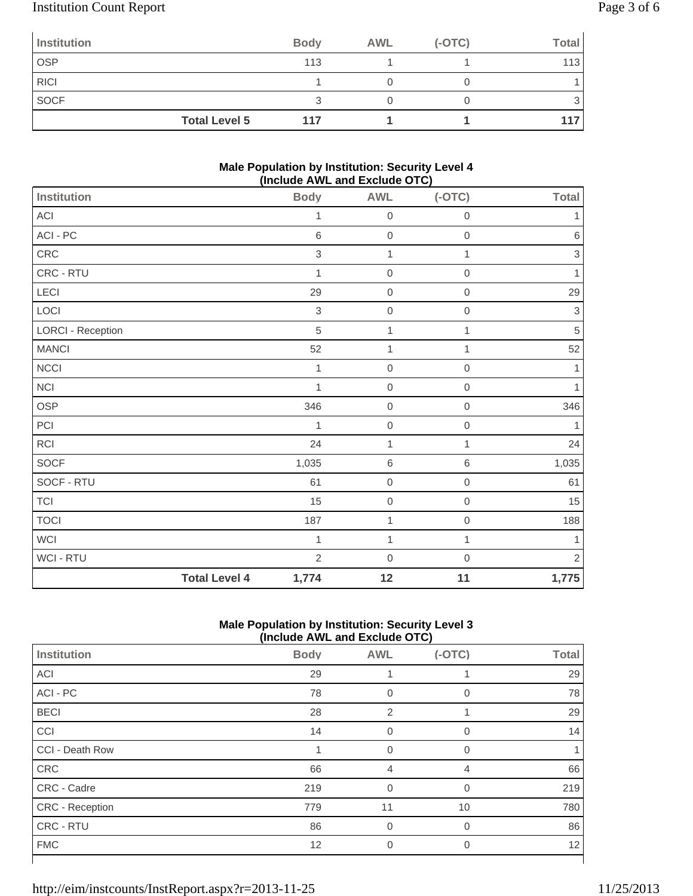# Institution Count Report Page 3 of 6

| <b>Institution</b>   | <b>Body</b> | <b>AWL</b> | $(-OTC)$ | <b>Total</b> |
|----------------------|-------------|------------|----------|--------------|
| <b>OSP</b>           | 113         |            |          | 113          |
| <b>RICI</b>          |             |            |          |              |
| <b>SOCF</b>          |             |            |          |              |
| <b>Total Level 5</b> | 117         |            |          |              |

### **Male Population by Institution: Security Level 4 (Include AWL and Exclude OTC)**

|                          |                      | $(1.0188)$ $(1.116)$ $\leq$ $(0.0188)$ $\leq$ $(0.016)$ |                  |                     |                           |
|--------------------------|----------------------|---------------------------------------------------------|------------------|---------------------|---------------------------|
| Institution              |                      | <b>Body</b>                                             | <b>AWL</b>       | $(-OTC)$            | <b>Total</b>              |
| $ACI$                    |                      | 1                                                       | $\mathbf 0$      | $\mathbf 0$         | 1                         |
| ACI - PC                 |                      | $\,6\,$                                                 | $\mbox{O}$       | $\mathsf{O}\xspace$ | $\,6\,$                   |
| CRC                      |                      | $\mathfrak{S}$                                          | $\mathbf 1$      | 1                   | 3                         |
| CRC - RTU                |                      | 1                                                       | $\mathbf 0$      | $\mathbf 0$         | 1                         |
| LECI                     |                      | 29                                                      | $\mathbf 0$      | $\mathbf 0$         | 29                        |
| LOCI                     |                      | $\sqrt{3}$                                              | $\mathbf 0$      | $\mathbf 0$         | $\ensuremath{\mathsf{3}}$ |
| <b>LORCI - Reception</b> |                      | $\sqrt{5}$                                              | $\mathbf 1$      | 1                   | 5                         |
| <b>MANCI</b>             |                      | 52                                                      | $\mathbf{1}$     | 1                   | 52                        |
| <b>NCCI</b>              |                      | 1                                                       | $\mathbf 0$      | $\mathbf 0$         | 1                         |
| $\sf NC I$               |                      | $\mathbf{1}$                                            | $\mathbf 0$      | $\mathbf 0$         | $\mathbf{1}$              |
| OSP                      |                      | 346                                                     | $\boldsymbol{0}$ | $\boldsymbol{0}$    | 346                       |
| PCI                      |                      | 1                                                       | $\mathbf 0$      | $\mathbf 0$         | 1                         |
| <b>RCI</b>               |                      | 24                                                      | $\mathbf{1}$     | 1                   | 24                        |
| SOCF                     |                      | 1,035                                                   | $\,6\,$          | $\,6$               | 1,035                     |
| SOCF - RTU               |                      | 61                                                      | $\boldsymbol{0}$ | $\mathbf 0$         | 61                        |
| <b>TCI</b>               |                      | 15                                                      | $\boldsymbol{0}$ | $\mathbf 0$         | 15                        |
| <b>TOCI</b>              |                      | 187                                                     | $\mathbf 1$      | $\mathbf 0$         | 188                       |
| <b>WCI</b>               |                      | $\mathbf{1}$                                            | 1                | $\mathbf{1}$        | $\mathbf{1}$              |
| WCI - RTU                |                      | $\overline{2}$                                          | $\mathbf 0$      | $\mathbf 0$         | $\overline{2}$            |
|                          | <b>Total Level 4</b> | 1,774                                                   | 12               | 11                  | 1,775                     |

### **Male Population by Institution: Security Level 3 (Include AWL and Exclude OTC)**

| Institution     | <b>Body</b> | <b>AWL</b>     | $(-OTC)$    | <b>Total</b> |
|-----------------|-------------|----------------|-------------|--------------|
| <b>ACI</b>      | 29          |                |             | 29           |
| ACI - PC        | 78          | 0              | $\Omega$    | 78           |
| <b>BECI</b>     | 28          | $\overline{2}$ |             | 29           |
| CCI             | 14          | 0              | $\mathbf 0$ | 14           |
| CCI - Death Row |             | $\Omega$       | $\Omega$    |              |
| CRC             | 66          | 4              | 4           | 66           |
| CRC - Cadre     | 219         | $\Omega$       | $\Omega$    | 219          |
| CRC - Reception | 779         | 11             | 10          | 780          |
| CRC - RTU       | 86          | $\mathbf 0$    | $\mathbf 0$ | 86           |
| <b>FMC</b>      | 12          | $\Omega$       | $\Omega$    | 12           |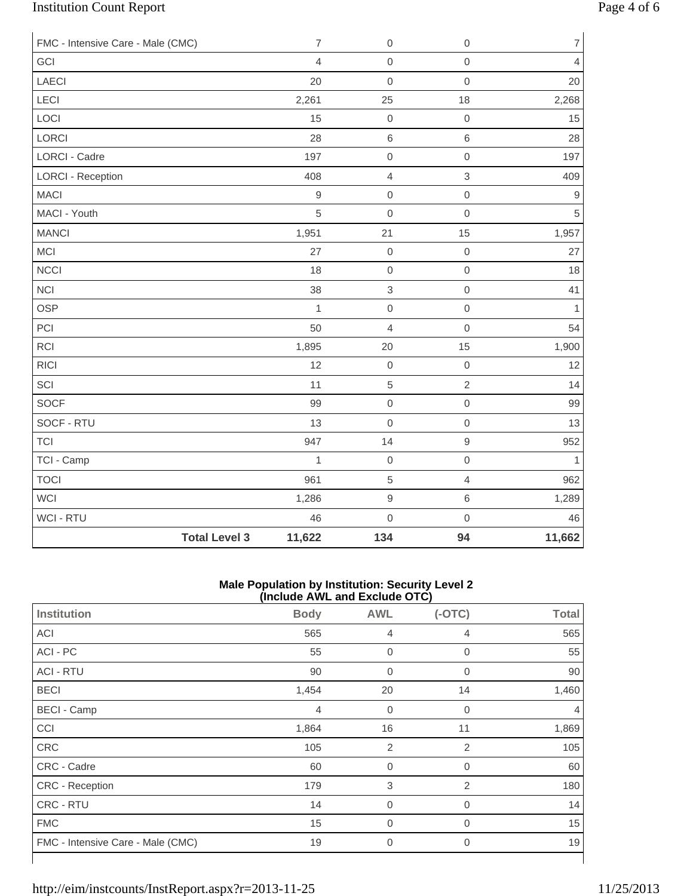# Institution Count Report Page 4 of 6

| FMC - Intensive Care - Male (CMC) | $\overline{7}$ | $\boldsymbol{0}$ | $\mathbf 0$         | $\overline{7}$   |
|-----------------------------------|----------------|------------------|---------------------|------------------|
| GCI                               | $\overline{4}$ | $\mathsf 0$      | $\mbox{O}$          | $\overline{4}$   |
| LAECI                             | 20             | $\mathbf 0$      | $\mathbf 0$         | 20               |
| LECI                              | 2,261          | 25               | 18                  | 2,268            |
| LOCI                              | 15             | $\mathbf 0$      | $\mathsf{O}\xspace$ | 15               |
| LORCI                             | 28             | $\,$ 6 $\,$      | $\,6\,$             | 28               |
| LORCI - Cadre                     | 197            | $\mathbf 0$      | $\mathbf 0$         | 197              |
| <b>LORCI - Reception</b>          | 408            | $\overline{4}$   | $\,$ 3 $\,$         | 409              |
| <b>MACI</b>                       | $\mathsf g$    | $\mbox{O}$       | $\mathbf 0$         | $\boldsymbol{9}$ |
| MACI - Youth                      | 5              | $\mathbf 0$      | $\mathbf 0$         | 5                |
| <b>MANCI</b>                      | 1,951          | 21               | 15                  | 1,957            |
| MCI                               | 27             | $\mathbf 0$      | $\mathbf 0$         | 27               |
| <b>NCCI</b>                       | 18             | $\mathbf 0$      | $\mathsf{O}\xspace$ | 18               |
| <b>NCI</b>                        | 38             | $\,$ 3 $\,$      | $\mathbf 0$         | 41               |
| <b>OSP</b>                        | $\mathbf{1}$   | $\mathbf 0$      | $\mathbf 0$         | $\mathbf{1}$     |
| PCI                               | 50             | $\overline{4}$   | $\mathsf{O}\xspace$ | 54               |
| <b>RCI</b>                        | 1,895          | 20               | 15                  | 1,900            |
| <b>RICI</b>                       | 12             | $\mathbf 0$      | $\mathbf 0$         | 12               |
| SCI                               | 11             | $\sqrt{5}$       | $\sqrt{2}$          | 14               |
| <b>SOCF</b>                       | 99             | $\,0\,$          | $\mathbf 0$         | 99               |
| SOCF - RTU                        | 13             | $\mathbf 0$      | $\mathbf 0$         | 13               |
| <b>TCI</b>                        | 947            | 14               | $\mathsf g$         | 952              |
| TCI - Camp                        | $\mathbf{1}$   | $\mathbf 0$      | $\mathbf 0$         | $\mathbf{1}$     |
| <b>TOCI</b>                       | 961            | $\sqrt{5}$       | $\overline{4}$      | 962              |
| <b>WCI</b>                        | 1,286          | $\hbox{9}$       | $\,6$               | 1,289            |
| WCI - RTU                         | 46             | $\mathbf 0$      | $\mathbf 0$         | 46               |
| <b>Total Level 3</b>              | 11,622         | 134              | 94                  | 11,662           |

#### **Male Population by Institution: Security Level 2 (Include AWL and Exclude OTC)**

|                                   | .           |                  |                |              |
|-----------------------------------|-------------|------------------|----------------|--------------|
| <b>Institution</b>                | <b>Body</b> | <b>AWL</b>       | $(-OTC)$       | <b>Total</b> |
| ACI                               | 565         | $\overline{4}$   | 4              | 565          |
| ACI - PC                          | 55          | $\mathbf 0$      | $\mathbf 0$    | 55           |
| <b>ACI - RTU</b>                  | 90          | $\mathbf 0$      | $\overline{0}$ | 90           |
| <b>BECI</b>                       | 1,454       | 20               | 14             | 1,460        |
| <b>BECI</b> - Camp                | 4           | $\mathbf 0$      | 0              | 4            |
| CCI                               | 1,864       | 16               | 11             | 1,869        |
| <b>CRC</b>                        | 105         | 2                | 2              | 105          |
| CRC - Cadre                       | 60          | $\boldsymbol{0}$ | 0              | 60           |
| CRC - Reception                   | 179         | 3                | $\overline{2}$ | 180          |
| CRC - RTU                         | 14          | $\mathbf 0$      | $\mathbf 0$    | 14           |
| <b>FMC</b>                        | 15          | $\mathbf 0$      | 0              | 15           |
| FMC - Intensive Care - Male (CMC) | 19          | $\mathbf 0$      | $\overline{0}$ | 19           |
|                                   |             |                  |                |              |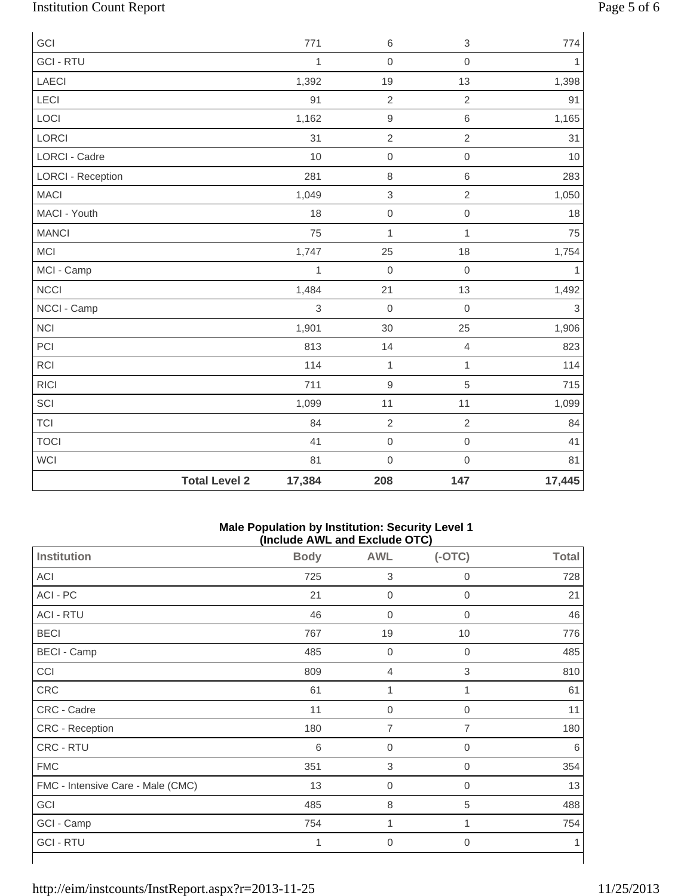# Institution Count Report Page 5 of 6

| GCI                      |                      | 771          | $\,6$          | $\ensuremath{\mathsf{3}}$ | 774          |
|--------------------------|----------------------|--------------|----------------|---------------------------|--------------|
| <b>GCI - RTU</b>         |                      | $\mathbf{1}$ | $\mathbf 0$    | $\mathbf 0$               | $\mathbf{1}$ |
| <b>LAECI</b>             |                      | 1,392        | 19             | 13                        | 1,398        |
| LECI                     |                      | 91           | $\overline{2}$ | $\overline{2}$            | 91           |
| LOCI                     |                      | 1,162        | $\hbox{9}$     | $\,6\,$                   | 1,165        |
| LORCI                    |                      | 31           | $\sqrt{2}$     | $\sqrt{2}$                | 31           |
| <b>LORCI - Cadre</b>     |                      | 10           | $\mathbf 0$    | $\mbox{O}$                | 10           |
| <b>LORCI - Reception</b> |                      | 281          | $\,8\,$        | $\,6\,$                   | 283          |
| <b>MACI</b>              |                      | 1,049        | $\,$ 3 $\,$    | $\overline{2}$            | 1,050        |
| MACI - Youth             |                      | 18           | $\mbox{O}$     | $\mathbf 0$               | 18           |
| <b>MANCI</b>             |                      | 75           | 1              | $\mathbf{1}$              | 75           |
| <b>MCI</b>               |                      | 1,747        | 25             | 18                        | 1,754        |
| MCI - Camp               |                      | $\mathbf{1}$ | $\mathbf 0$    | $\mathbf 0$               | $\mathbf{1}$ |
| <b>NCCI</b>              |                      | 1,484        | 21             | 13                        | 1,492        |
| NCCI - Camp              |                      | 3            | $\mathbf 0$    | $\mathbf 0$               | 3            |
| <b>NCI</b>               |                      | 1,901        | 30             | 25                        | 1,906        |
| PCI                      |                      | 813          | 14             | 4                         | 823          |
| RCI                      |                      | 114          | $\mathbf{1}$   | $\mathbf{1}$              | 114          |
| <b>RICI</b>              |                      | 711          | $\hbox{9}$     | 5                         | 715          |
| SCI                      |                      | 1,099        | 11             | 11                        | 1,099        |
| <b>TCI</b>               |                      | 84           | $\overline{2}$ | $\sqrt{2}$                | 84           |
| <b>TOCI</b>              |                      | 41           | $\mathbf 0$    | $\mathbf 0$               | 41           |
| <b>WCI</b>               |                      | 81           | $\mathbf 0$    | $\mathsf{O}\xspace$       | 81           |
|                          | <b>Total Level 2</b> | 17,384       | 208            | 147                       | 17,445       |

### **Male Population by Institution: Security Level 1 (Include AWL and Exclude OTC)**

|                                   | ,           |                           | - - - - ,        |              |
|-----------------------------------|-------------|---------------------------|------------------|--------------|
| <b>Institution</b>                | <b>Body</b> | <b>AWL</b>                | $(-OTC)$         | <b>Total</b> |
| ACI                               | 725         | $\ensuremath{\mathsf{3}}$ | $\mathbf 0$      | 728          |
| ACI - PC                          | 21          | $\boldsymbol{0}$          | $\boldsymbol{0}$ | 21           |
| <b>ACI - RTU</b>                  | 46          | $\boldsymbol{0}$          | 0                | 46           |
| <b>BECI</b>                       | 767         | 19                        | 10               | 776          |
| <b>BECI - Camp</b>                | 485         | $\mathbf 0$               | 0                | 485          |
| CCI                               | 809         | $\overline{4}$            | 3                | 810          |
| CRC                               | 61          | 1                         | 1                | 61           |
| CRC - Cadre                       | 11          | $\boldsymbol{0}$          | $\mathbf 0$      | 11           |
| CRC - Reception                   | 180         | 7                         | $\overline{7}$   | 180          |
| CRC - RTU                         | 6           | $\mathbf 0$               | 0                | 6            |
| <b>FMC</b>                        | 351         | 3                         | $\overline{0}$   | 354          |
| FMC - Intensive Care - Male (CMC) | 13          | $\boldsymbol{0}$          | $\mathbf 0$      | 13           |
| GCI                               | 485         | 8                         | 5                | 488          |
| GCI - Camp                        | 754         | 1                         | 1                | 754          |
| <b>GCI - RTU</b>                  | 1           | $\overline{0}$            | 0                | 1            |
|                                   |             |                           |                  |              |